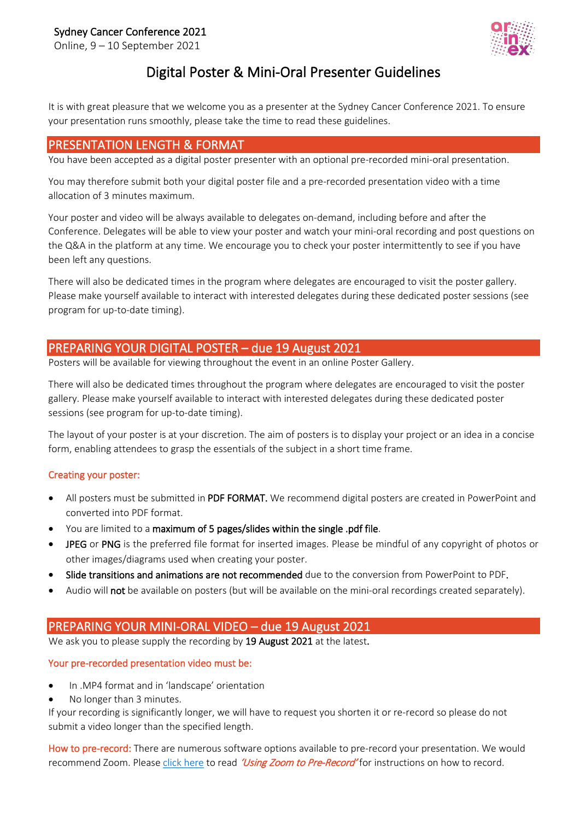### Sydney Cancer Conference 2021

Online, 9 – 10 September 2021



# Digital Poster & Mini-Oral Presenter Guidelines

 It is with great pleasure that we welcome you as a presenter at the Sydney Cancer Conference 2021. To ensure your presentation runs smoothly, please take the time to read these guidelines.

### PRESENTATION LENGTH & FORMAT

You have been accepted as a digital poster presenter with an optional pre-recorded mini-oral presentation.

You may therefore submit both your digital poster file and a pre-recorded presentation video with a time allocation of 3 minutes maximum.

Your poster and video will be always available to delegates on-demand, including before and after the Conference. Delegates will be able to view your poster and watch your mini-oral recording and post questions on the Q&A in the platform at any time. We encourage you to check your poster intermittently to see if you have been left any questions.

There will also be dedicated times in the program where delegates are encouraged to visit the poster gallery. Please make yourself available to interact with interested delegates during these dedicated poster sessions (see program for up-to-date timing).

### PREPARING YOUR DIGITAL POSTER – due 19 August 2021

Posters will be available for viewing throughout the event in an online Poster Gallery.

There will also be dedicated times throughout the program where delegates are encouraged to visit the poster gallery. Please make yourself available to interact with interested delegates during these dedicated poster sessions (see program for up-to-date timing).

The layout of your poster is at your discretion. The aim of posters is to display your project or an idea in a concise form, enabling attendees to grasp the essentials of the subject in a short time frame.

#### Creating your poster:

- All posters must be submitted in PDF FORMAT. We recommend digital posters are created in PowerPoint and converted into PDF format.
- You are limited to a maximum of 5 pages/slides within the single .pdf file.
- JPEG or PNG is the preferred file format for inserted images. Please be mindful of any copyright of photos or other images/diagrams used when creating your poster.
- Slide transitions and animations are not recommended due to the conversion from PowerPoint to PDF.
- Audio will not be available on posters (but will be available on the mini-oral recordings created separately).

## PREPARING YOUR MINI-ORAL VIDEO – due 19 August 2021

We ask you to please supply the recording by 19 August 2021 at the latest.

#### Your pre-recorded presentation video must be:

- In .MP4 format and in 'landscape' orientation
- No longer than 3 minutes.

If your recording is significantly longer, we will have to request you shorten it or re-record so please do not submit a video longer than the specified length.

How to pre-record: There are numerous software options available to pre-record your presentation. We would recommend Zoom. Please [click here](https://www.sydney.edu.au/content/dam/corporate/documents/cancer-research-network/scc2021_using-zoom-to-pre-record.pdf) to read 'Using Zoom to Pre-Record' for instructions on how to record.